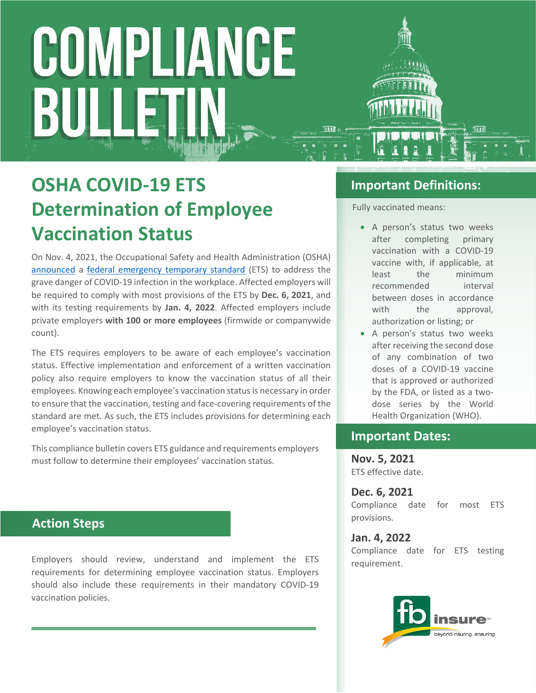# COMPLIANCE HETT. BULI

# **OSHA COVID-19 ETS Determination of Employee Vaccination Status**

On Nov. 4, 2021, the Occupational Safety and Health Administration (OSHA) [announced](https://www.osha.gov/news/newsreleases/national/11042021) a [federal emergency temporary standard](https://www.govinfo.gov/content/pkg/FR-2021-11-05/pdf/2021-23643.pdf) (ETS) to address the grave danger of COVID-19 infection in the workplace. Affected employers will be required to comply with most provisions of the ETS by **Dec. 6, 2021**, and with its testing requirements by **Jan. 4, 2022**. Affected employers include private employers **with 100 or more employees** (firmwide or companywide count).

The ETS requires employers to be aware of each employee's vaccination status. Effective implementation and enforcement of a written vaccination policy also require employers to know the vaccination status of all their employees. Knowing each employee's vaccination status is necessary in order to ensure that the vaccination, testing and face-covering requirements of the standard are met. As such, the ETS includes provisions for determining each employee's vaccination status.

This compliance bulletin covers ETS guidance and requirements employers must follow to determine their employees' vaccination status.

### **Action Steps**

Employers should review, understand and implement the ETS requirements for determining employee vaccination status. Employers should also include these requirements in their mandatory COVID-19 vaccination policies.

### **Important Definitions:**

Fully vaccinated means:

- A person's status two weeks after completing primary vaccination with a COVID-19 vaccine with, if applicable, at least the minimum recommended interval between doses in accordance with the approval. authorization or listing; or
- A person's status two weeks after receiving the second dose of any combination of two doses of a COVID-19 vaccine that is approved or authorized by the FDA, or listed as a twodose series by the World Health Organization (WHO).

### **Important Dates:**

**Nov. 5, 2021** ETS effective date.

**Dec. 6, 2021** Compliance date for most ETS provisions.

**Jan. 4, 2022** Compliance date for ETS testing requirement.

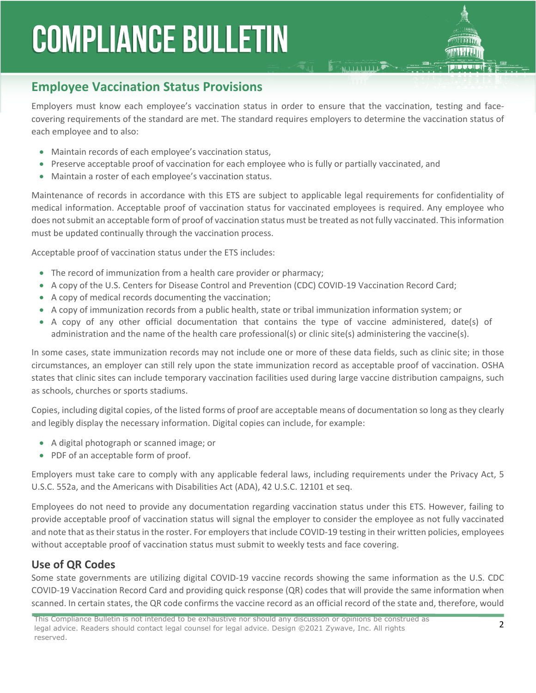## **Employee Vaccination Status Provisions**

Employers must know each employee's vaccination status in order to ensure that the vaccination, testing and facecovering requirements of the standard are met. The standard requires employers to determine the vaccination status of each employee and to also:

**E MAIL LIBRARY** 

- Maintain records of each employee's vaccination status,
- Preserve acceptable proof of vaccination for each employee who is fully or partially vaccinated, and
- Maintain a roster of each employee's vaccination status.

Maintenance of records in accordance with this ETS are subject to applicable legal requirements for confidentiality of medical information. Acceptable proof of vaccination status for vaccinated employees is required. Any employee who does not submit an acceptable form of proof of vaccination status must be treated as not fully vaccinated. This information must be updated continually through the vaccination process.

Acceptable proof of vaccination status under the ETS includes:

- The record of immunization from a health care provider or pharmacy;
- A copy of the U.S. Centers for Disease Control and Prevention (CDC) COVID-19 Vaccination Record Card;
- A copy of medical records documenting the vaccination;
- A copy of immunization records from a public health, state or tribal immunization information system; or
- A copy of any other official documentation that contains the type of vaccine administered, date(s) of administration and the name of the health care professional(s) or clinic site(s) administering the vaccine(s).

In some cases, state immunization records may not include one or more of these data fields, such as clinic site; in those circumstances, an employer can still rely upon the state immunization record as acceptable proof of vaccination. OSHA states that clinic sites can include temporary vaccination facilities used during large vaccine distribution campaigns, such as schools, churches or sports stadiums.

Copies, including digital copies, of the listed forms of proof are acceptable means of documentation so long as they clearly and legibly display the necessary information. Digital copies can include, for example:

- A digital photograph or scanned image; or
- PDF of an acceptable form of proof.

Employers must take care to comply with any applicable federal laws, including requirements under the Privacy Act, 5 U.S.C. 552a, and the Americans with Disabilities Act (ADA), 42 U.S.C. 12101 et seq.

Employees do not need to provide any documentation regarding vaccination status under this ETS. However, failing to provide acceptable proof of vaccination status will signal the employer to consider the employee as not fully vaccinated and note that as their status in the roster. For employers that include COVID-19 testing in their written policies, employees without acceptable proof of vaccination status must submit to weekly tests and face covering.

#### **Use of QR Codes**

Some state governments are utilizing digital COVID-19 vaccine records showing the same information as the U.S. CDC COVID-19 Vaccination Record Card and providing quick response (QR) codes that will provide the same information when scanned. In certain states, the QR code confirms the vaccine record as an official record of the state and, therefore, would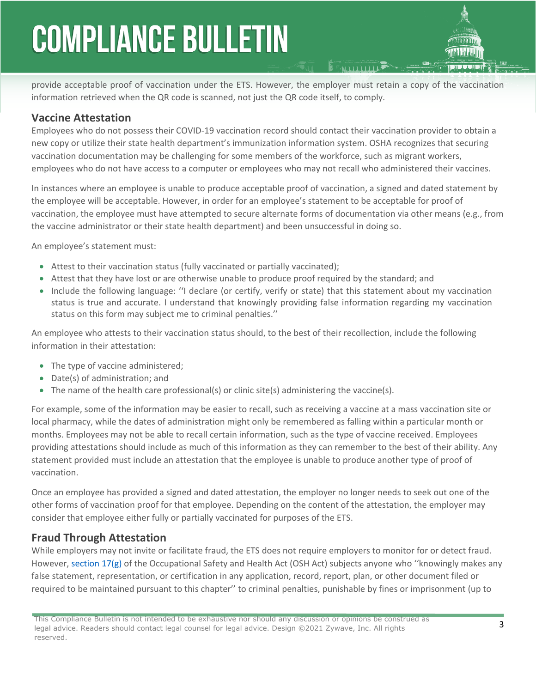provide acceptable proof of vaccination under the ETS. However, the employer must retain a copy of the vaccination information retrieved when the QR code is scanned, not just the QR code itself, to comply.

#### **Vaccine Attestation**

Employees who do not possess their COVID-19 vaccination record should contact their vaccination provider to obtain a new copy or utilize their state health department's immunization information system. OSHA recognizes that securing vaccination documentation may be challenging for some members of the workforce, such as migrant workers, employees who do not have access to a computer or employees who may not recall who administered their vaccines.

In instances where an employee is unable to produce acceptable proof of vaccination, a signed and dated statement by the employee will be acceptable. However, in order for an employee's statement to be acceptable for proof of vaccination, the employee must have attempted to secure alternate forms of documentation via other means (e.g., from the vaccine administrator or their state health department) and been unsuccessful in doing so.

An employee's statement must:

- Attest to their vaccination status (fully vaccinated or partially vaccinated);
- Attest that they have lost or are otherwise unable to produce proof required by the standard; and
- Include the following language: ''I declare (or certify, verify or state) that this statement about my vaccination status is true and accurate. I understand that knowingly providing false information regarding my vaccination status on this form may subject me to criminal penalties.''

An employee who attests to their vaccination status should, to the best of their recollection, include the following information in their attestation:

- The type of vaccine administered;
- Date(s) of administration; and
- The name of the health care professional(s) or clinic site(s) administering the vaccine(s).

For example, some of the information may be easier to recall, such as receiving a vaccine at a mass vaccination site or local pharmacy, while the dates of administration might only be remembered as falling within a particular month or months. Employees may not be able to recall certain information, such as the type of vaccine received. Employees providing attestations should include as much of this information as they can remember to the best of their ability. Any statement provided must include an attestation that the employee is unable to produce another type of proof of vaccination.

Once an employee has provided a signed and dated attestation, the employer no longer needs to seek out one of the other forms of vaccination proof for that employee. Depending on the content of the attestation, the employer may consider that employee either fully or partially vaccinated for purposes of the ETS.

#### **Fraud Through Attestation**

While employers may not invite or facilitate fraud, the ETS does not require employers to monitor for or detect fraud. However, [section 17\(g\)](https://www.osha.gov/laws-regs/oshact/section_17) of the Occupational Safety and Health Act (OSH Act) subjects anyone who "knowingly makes any false statement, representation, or certification in any application, record, report, plan, or other document filed or required to be maintained pursuant to this chapter'' to criminal penalties, punishable by fines or imprisonment (up to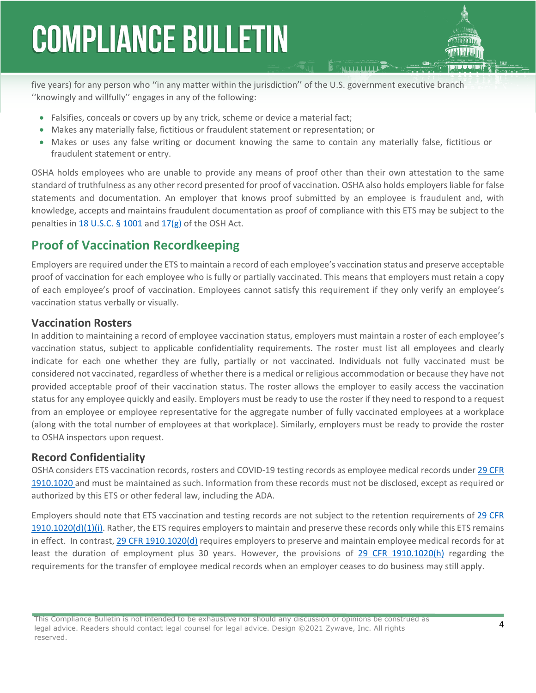five years) for any person who ''in any matter within the jurisdiction'' of the U.S. government executive branch ''knowingly and willfully'' engages in any of the following:

- Falsifies, conceals or covers up by any trick, scheme or device a material fact;
- Makes any materially false, fictitious or fraudulent statement or representation; or
- Makes or uses any false writing or document knowing the same to contain any materially false, fictitious or fraudulent statement or entry.

OSHA holds employees who are unable to provide any means of proof other than their own attestation to the same standard of truthfulness as any other record presented for proof of vaccination. OSHA also holds employers liable for false statements and documentation. An employer that knows proof submitted by an employee is fraudulent and, with knowledge, accepts and maintains fraudulent documentation as proof of compliance with this ETS may be subject to the penalties in 18 U.S.C.  $\S$  1001 and [17\(g\)](https://www.osha.gov/laws-regs/oshact/section_17) of the OSH Act.

### **Proof of Vaccination Recordkeeping**

Employers are required under the ETS to maintain a record of each employee's vaccination status and preserve acceptable proof of vaccination for each employee who is fully or partially vaccinated. This means that employers must retain a copy of each employee's proof of vaccination. Employees cannot satisfy this requirement if they only verify an employee's vaccination status verbally or visually.

#### **Vaccination Rosters**

In addition to maintaining a record of employee vaccination status, employers must maintain a roster of each employee's vaccination status, subject to applicable confidentiality requirements. The roster must list all employees and clearly indicate for each one whether they are fully, partially or not vaccinated. Individuals not fully vaccinated must be considered not vaccinated, regardless of whether there is a medical or religious accommodation or because they have not provided acceptable proof of their vaccination status. The roster allows the employer to easily access the vaccination status for any employee quickly and easily. Employers must be ready to use the roster if they need to respond to a request from an employee or employee representative for the aggregate number of fully vaccinated employees at a workplace (along with the total number of employees at that workplace). Similarly, employers must be ready to provide the roster to OSHA inspectors upon request.

#### **Record Confidentiality**

OSHA considers ETS vaccination records, rosters and COVID-19 testing records as employee medical records under [29 CFR](https://www.osha.gov/laws-regs/regulations/standardnumber/1910)  [1910.1020](https://www.osha.gov/laws-regs/regulations/standardnumber/1910) and must be maintained as such. Information from these records must not be disclosed, except as required or authorized by this ETS or other federal law, including the ADA.

Employers should note that ETS vaccination and testing records are not subject to the retention requirements of [29 CFR](https://www.osha.gov/laws-regs/regulations/standardnumber/1910)  [1910.1020\(d\)\(1\)\(i\)](https://www.osha.gov/laws-regs/regulations/standardnumber/1910). Rather, the ETS requires employers to maintain and preserve these records only while this ETS remains in effect. In contrast, [29 CFR 1910.1020\(d\)](https://www.osha.gov/laws-regs/regulations/standardnumber/1910/1910.1020) requires employers to preserve and maintain employee medical records for at least the duration of employment plus 30 years. However, the provisions of [29 CFR 1910.1020\(h\)](https://www.osha.gov/laws-regs/regulations/standardnumber/1910/1910.1020) regarding the requirements for the transfer of employee medical records when an employer ceases to do business may still apply.

This Compliance Bulletin is not intended to be exhaustive nor should any discussion or opinions be construed as legal advice. Readers should contact legal counsel for legal advice. Design ©2021 Zywave, Inc. All rights reserved.